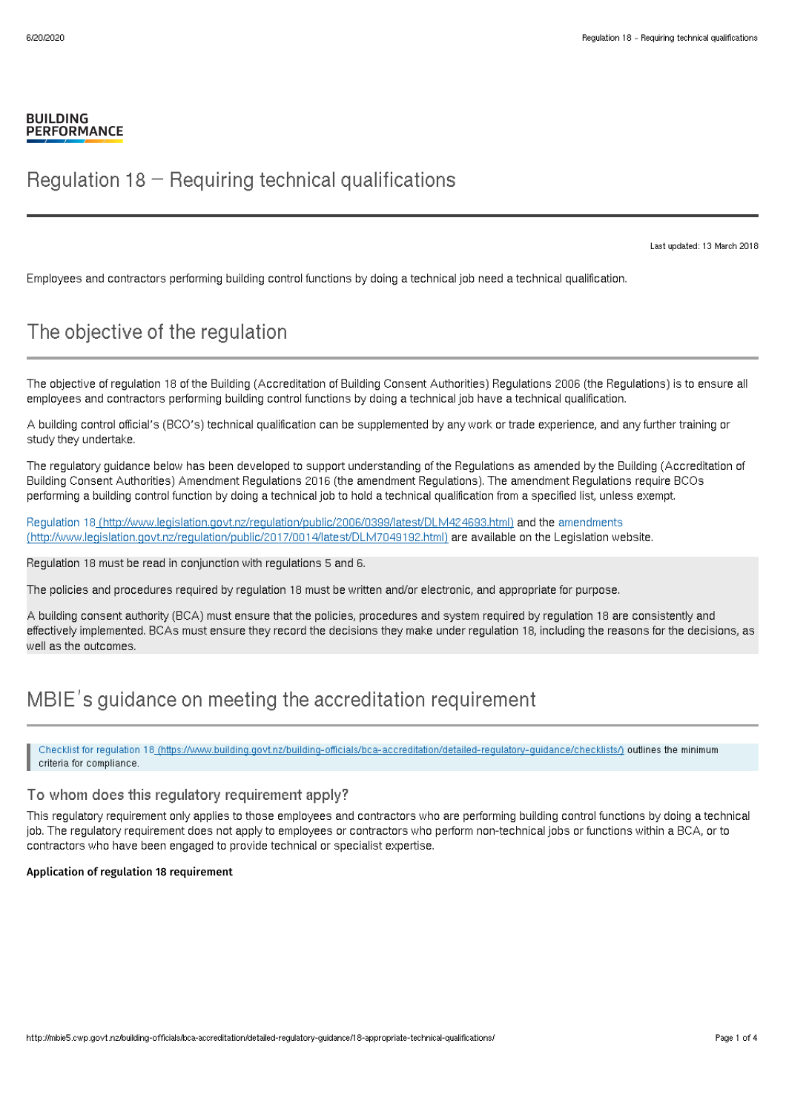## Regulation  $18$  – Reguiring technical qualifications

Last updated: 13 March 2018

Employees and contractors performing building control functions by doing a technical job need a technical qualification.

# The objective of the regulation

The objective of regulation 18 of the Building (Accreditation of Building Consent Authorities) Regulations 2006 (the Regulations) is to ensure all employees and contractors performing building control functions by doing a technical job have a technical qualification.

A building control official's (BCO's) technical qualification can be supplemented by any work or trade experience, and any further training or study they undertake.

The regulatory guidance below has been developed to support understanding of the Regulations as amended by the Building (Accreditation of Building Consent Authorities) Amendment Regulations 2016 (the amendment Regulations). The amendment Regulations require BCOs performing a building control function by doing a technical job to hold a technical qualification from a specified list, unless exempt.

Regulation 18 [\(http://www.legislation.govt.nz/regulation/public/2006/0399/latest/DLM424693.html\)](http://www.legislation.govt.nz/regulation/public/2006/0399/latest/DLM424693.html) and the amendments [\(http://www.legislation.govt.nz/regulation/public/2017/0014/latest/DLM7049192.html\)](http://www.legislation.govt.nz/regulation/public/2017/0014/latest/DLM7049192.html) are available on the Legislation website.

Regulation 18 must be read in conjunction with regulations 5 and 6.

The policies and procedures required by regulation 18 must be written and/or electronic, and appropriate for purpose.

A building consent authority (BCA) must ensure that the policies, procedures and system required by requlation 18 are consistently and effectively implemented. BCAs must ensure they record the decisions they make under regulation 18, including the reasons for the decisions, as well as the outcomes.

## MBIE's guidance on meeting the accreditation requirement

Checklist for regulation 18 [\(https://www.building.govt.nz/building-officials/bca-accreditation/detailed-regulatory-guidance/checklists/\)](http://mbie5.cwp.govt.nz/building-officials/bca-accreditation/detailed-regulatory-guidance/checklists/) outlines the minimum criteria for compliance.

### To whom does this regulatory requirement apply?

This regulatory requirement only applies to those employees and contractors who are performing building control functions by doing a technical job. The regulatory requirement does not apply to employees or contractors who perform non-technical jobs or functions within a BCA, or to contractors who have been engaged to provide technical or specialist expertise.

#### Application of regulation 18 requirement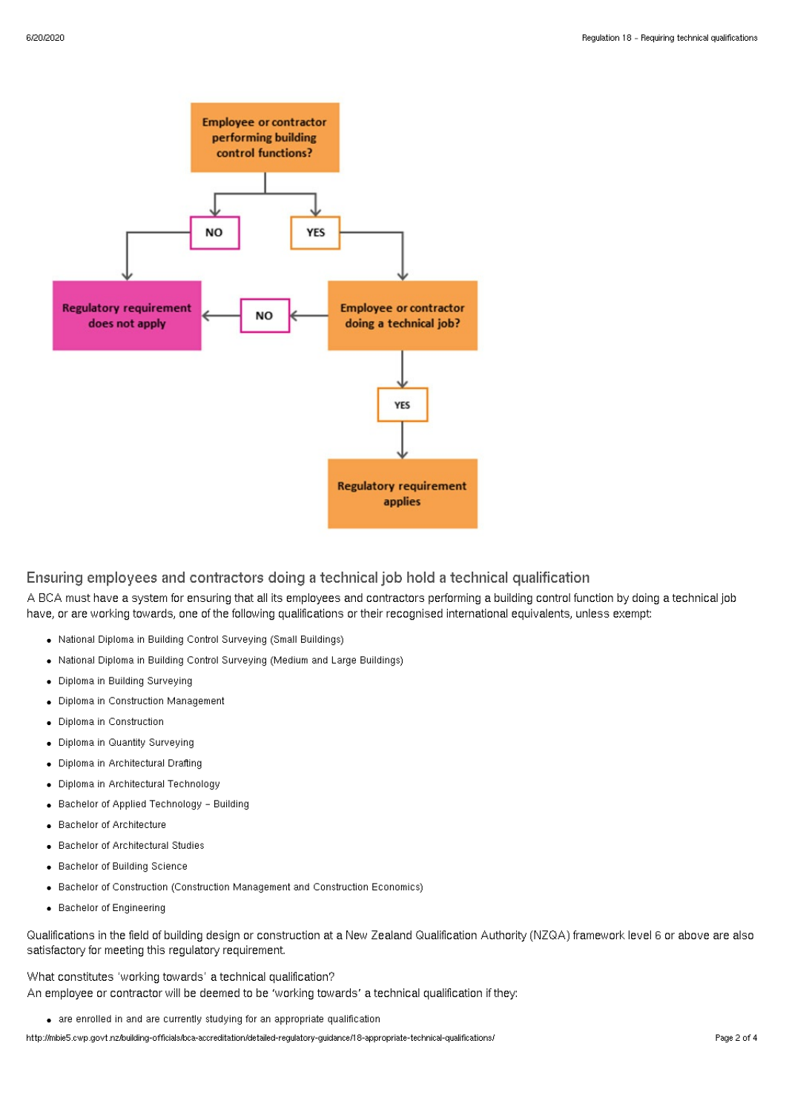

### Ensuring employees and contractors doing a technical job hold a technical qualification

A BCA must have a system for ensuring that all its employees and contractors performing a building control function by doing a technical job have, or are working towards, one of the following qualifications or their recognised international equivalents, unless exempt:

- National Diploma in Building Control Surveying (Small Buildings)
- National Diploma in Building Control Surveying (Medium and Large Buildings)
- Diploma in Building Surveying
- Diploma in Construction Management
- Diploma in Construction
- Diploma in Quantity Surveying
- Diploma in Architectural Drafting
- Diploma in Architectural Technology
- Bachelor of Applied Technology Building
- **Bachelor of Architecture**
- Bachelor of Architectural Studies
- Bachelor of Building Science
- Bachelor of Construction (Construction Management and Construction Economics)
- Bachelor of Engineering

Qualifications in the field of building design or construction at a New Zealand Qualification Authority (NZQA) framework level 6 or above are also satisfactory for meeting this regulatory requirement.

What constitutes 'working towards' a technical qualification? An employee or contractor will be deemed to be 'working towards' a technical qualification if they:

are enrolled in and are currently studying for an appropriate qualification

http://mbie5.cwp.govt.nz/building-officials/bca-accreditation/detailed-regulatory-guidance/18-appropriate-technical-qualifications/ Page 2 of 4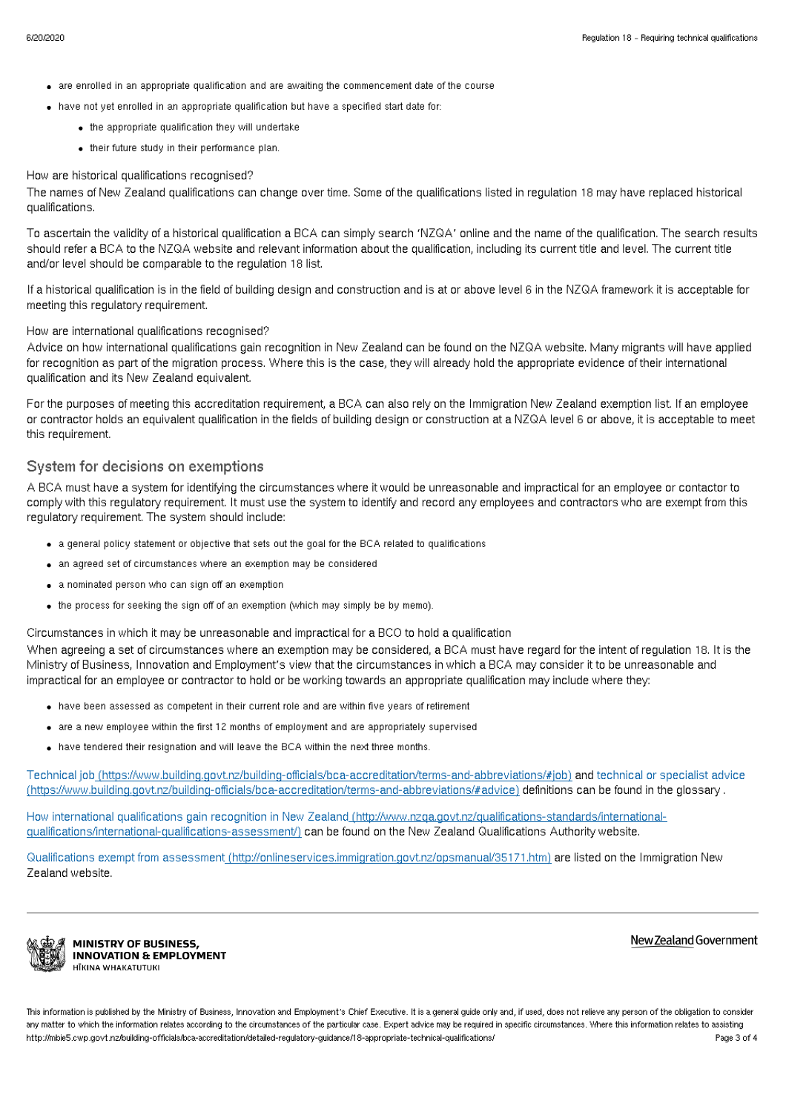- are enrolled in an appropriate qualification and are awaiting the commencement date of the course
- have not yet enrolled in an appropriate qualification but have a specified start date for:
	- the appropriate qualification they will undertake
	- their future study in their performance plan.

#### How are historical qualifications recognised?

The names of New Zealand qualifications can change over time. Some of the qualifications listed in regulation 18 may have replaced historical qualifications.

To ascertain the validity of a historical qualification a BCA can simply search 'NZQA' online and the name of the qualification. The search results should refer a BCA to the NZQA website and relevant information about the qualification, including its current title and level. The current title and/or level should be comparable to the regulation 18 list.

If a historical qualification is in the field of building design and construction and is at or above level 6 in the NZQA framework it is acceptable for meeting this regulatory requirement.

#### How are international qualifications recognised?

Advice on how international qualifications gain recognition in New Zealand can be found on the NZQA website. Many migrants will have applied for recognition as part of the migration process. Where this is the case, they will already hold the appropriate evidence of their international qualification and its New Zealand equivalent.

For the purposes of meeting this accreditation requirement, a BCA can also rely on the Immigration New Zealand exemption list. If an employee or contractor holds an equivalent qualification in the fields of building design or construction at a NZQA level 6 or above, it is acceptable to meet this requirement.

#### System for decisions on exemptions

A BCA must have a system for identifying the circumstances where it would be unreasonable and impractical for an employee or contactor to comply with this regulatory requirement. It must use the system to identify and record any employees and contractors who are exempt from this regulatory requirement. The system should include:

- a general policy statement or objective that sets out the goal for the BCA related to qualifications
- an agreed set of circumstances where an exemption may be considered
- a nominated person who can sign off an exemption
- the process for seeking the sign off of an exemption (which may simply be by memo).

Circumstances in which it may be unreasonable and impractical for a BCO to hold a qualification

When agreeing a set of circumstances where an exemption may be considered, a BCA must have regard for the intent of regulation 18. It is the Ministry of Business, Innovation and Employment's view that the circumstances in which a BCA may consider it to be unreasonable and impractical for an employee or contractor to hold or be working towards an appropriate qualification may include where they:

- have been assessed as competent in their current role and are within five years of retirement
- are a new employee within the first 12 months of employment and are appropriately supervised
- have tendered their resignation and will leave the BCA within the next three months.

Technical job [\(https://www.building.govt.nz/building-officials/bca-accreditation/terms-and-abbreviations/#job\)](http://mbie5.cwp.govt.nz/building-officials/bca-accreditation/terms-and-abbreviations/#job) and technical or specialist advice [\(https://www.building.govt.nz/building-officials/bca-accreditation/terms-and-abbreviations/#advice\)](http://mbie5.cwp.govt.nz/building-officials/bca-accreditation/terms-and-abbreviations/#advice) definitions can be found in the glossary .

How international qualifications gain recognition in New Zealand [\(http://www.nzqa.govt.nz/qualifications-standards/international](http://www.nzqa.govt.nz/qualifications-standards/international-qualifications/international-qualifications-assessment/)qualifications/international-qualifications-assessment/) can be found on the New Zealand Qualifications Authority website.

Qualifications exempt from assessment [\(http://onlineservices.immigration.govt.nz/opsmanual/35171.htm\)](http://onlineservices.immigration.govt.nz/opsmanual/35171.htm) are listed on the Immigration New Zealand website.



**MINISTRY OF BUSINESS. INNOVATION & EMPLOYMENT** HĪKINA WHAKATUTUKI

New Zealand Government

This information is published by the Ministry of Business, Innovation and Employment's Chief Executive. It is a general guide only and, if used, does not relieve any person of the obligation to consider any matter to which the information relates according to the circumstances of the particular case. Expert advice may be required in specific circumstances. Where this information relates to assisting http://mbie5.cwp.govt.nz/building-officials/bca-accreditation/detailed-regulatory-guidance/18-appropriate-technical-qualifications/ Page 3 of 4